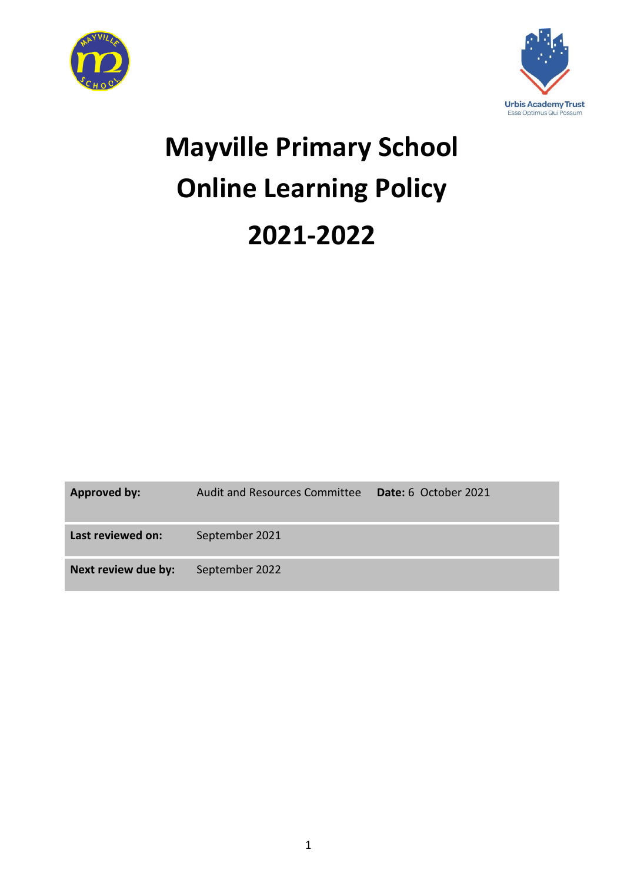



# **Mayville Primary School Online Learning Policy 2021-2022**

| Approved by:        | <b>Audit and Resources Committee</b> | <b>Date:</b> 6 October 2021 |
|---------------------|--------------------------------------|-----------------------------|
| Last reviewed on:   | September 2021                       |                             |
| Next review due by: | September 2022                       |                             |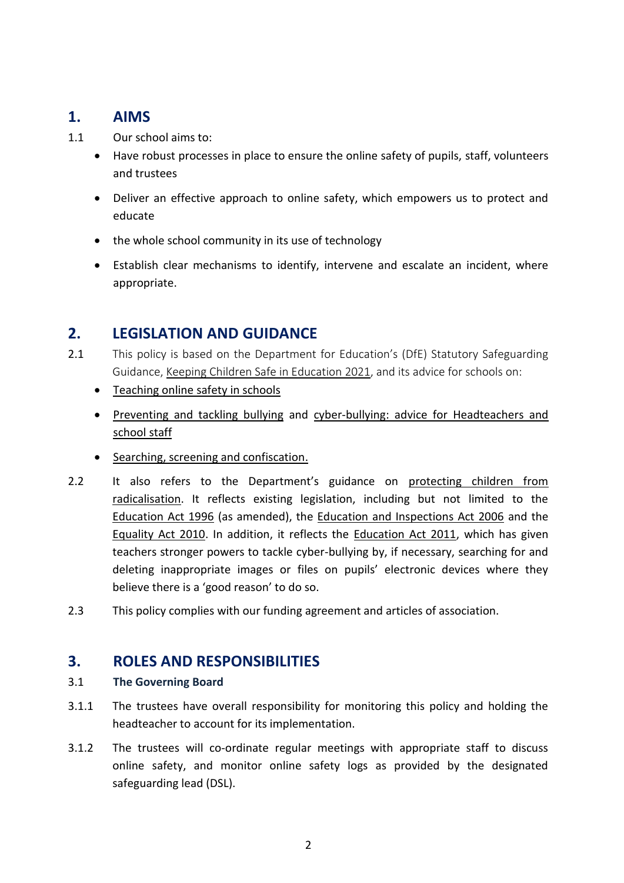# **1. AIMS**

- 1.1 Our school aims to:
	- Have robust processes in place to ensure the online safety of pupils, staff, volunteers and trustees
	- Deliver an effective approach to online safety, which empowers us to protect and educate
	- the whole school community in its use of technology
	- Establish clear mechanisms to identify, intervene and escalate an incident, where appropriate.

# **2. LEGISLATION AND GUIDANCE**

- 2.1 This policy is based on the Department for Education's (DfE) Statutory Safeguarding Guidance, [Keeping Children Safe in Education](https://www.gov.uk/government/publications/keeping-children-safe-in-education--2) 2021, and its advice for schools on:
	- [Teaching online safety in schools](https://www.gov.uk/government/publications/teaching-online-safety-in-schools)
	- [Preventing and tackling bullying](https://www.gov.uk/government/publications/preventing-and-tackling-bullying) and [cyber-bullying: advice for Headteachers and](https://www.gov.uk/government/publications/preventing-and-tackling-bullying)  [school staff](https://www.gov.uk/government/publications/preventing-and-tackling-bullying)
	- [Searching, screening and confiscation.](https://www.gov.uk/government/publications/searching-screening-and-confiscation)
- 2.2 It also refers to the Department's guidance on protecting children from [radicalisation.](https://www.gov.uk/government/publications/protecting-children-from-radicalisation-the-prevent-duty) It reflects existing legislation, including but not limited to the [Education Act 1996](https://www.legislation.gov.uk/ukpga/1996/56/contents) (as amended), the [Education and Inspections Act 2006](https://www.legislation.gov.uk/ukpga/2006/40/contents) and the [Equality Act 2010.](https://www.legislation.gov.uk/ukpga/2010/15/contents) In addition, it reflects the [Education Act 2011,](http://www.legislation.gov.uk/ukpga/2011/21/contents/enacted) which has given teachers stronger powers to tackle cyber-bullying by, if necessary, searching for and deleting inappropriate images or files on pupils' electronic devices where they believe there is a 'good reason' to do so.
- 2.3 This policy complies with our funding agreement and articles of association.

## **3. ROLES AND RESPONSIBILITIES**

### 3.1 **The Governing Board**

- 3.1.1 The trustees have overall responsibility for monitoring this policy and holding the headteacher to account for its implementation.
- 3.1.2 The trustees will co-ordinate regular meetings with appropriate staff to discuss online safety, and monitor online safety logs as provided by the designated safeguarding lead (DSL).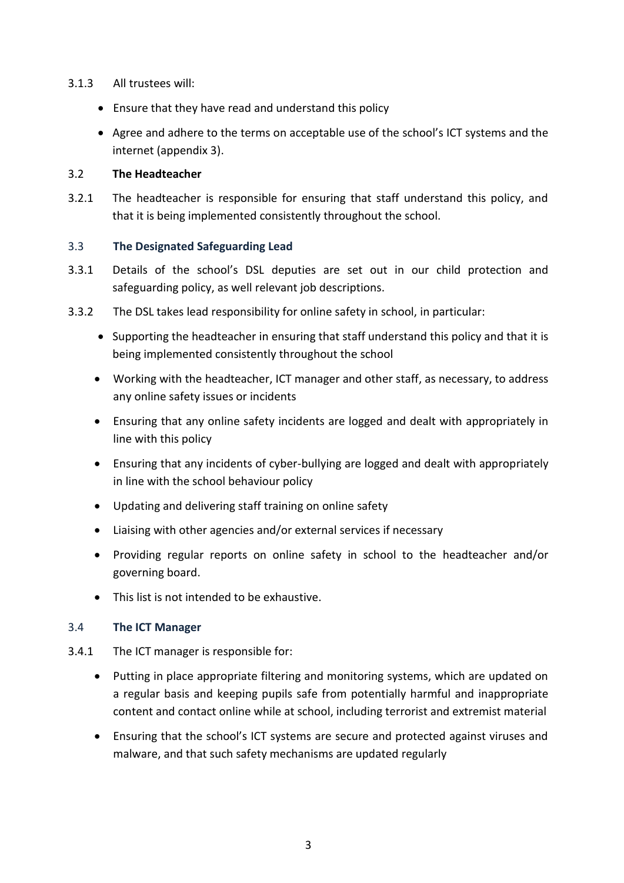#### 3.1.3 All trustees will:

- Ensure that they have read and understand this policy
- Agree and adhere to the terms on acceptable use of the school's ICT systems and the internet (appendix 3).

#### 3.2 **The Headteacher**

3.2.1 The headteacher is responsible for ensuring that staff understand this policy, and that it is being implemented consistently throughout the school.

### 3.3 **The Designated Safeguarding Lead**

- 3.3.1 Details of the school's DSL deputies are set out in our child protection and safeguarding policy, as well relevant job descriptions.
- 3.3.2 The DSL takes lead responsibility for online safety in school, in particular:
	- Supporting the headteacher in ensuring that staff understand this policy and that it is being implemented consistently throughout the school
	- Working with the headteacher, ICT manager and other staff, as necessary, to address any online safety issues or incidents
	- Ensuring that any online safety incidents are logged and dealt with appropriately in line with this policy
	- Ensuring that any incidents of cyber-bullying are logged and dealt with appropriately in line with the school behaviour policy
	- Updating and delivering staff training on online safety
	- Liaising with other agencies and/or external services if necessary
	- Providing regular reports on online safety in school to the headteacher and/or governing board.
	- This list is not intended to be exhaustive.

### 3.4 **The ICT Manager**

- 3.4.1 The ICT manager is responsible for:
	- Putting in place appropriate filtering and monitoring systems, which are updated on a regular basis and keeping pupils safe from potentially harmful and inappropriate content and contact online while at school, including terrorist and extremist material
	- Ensuring that the school's ICT systems are secure and protected against viruses and malware, and that such safety mechanisms are updated regularly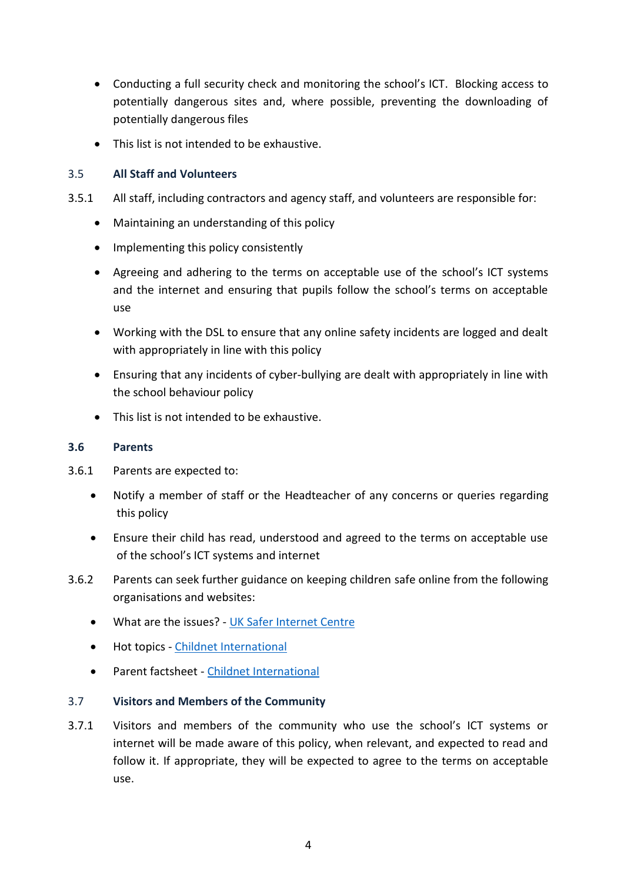- Conducting a full security check and monitoring the school's ICT. Blocking access to potentially dangerous sites and, where possible, preventing the downloading of potentially dangerous files
- This list is not intended to be exhaustive.

### 3.5 **All Staff and Volunteers**

- 3.5.1 All staff, including contractors and agency staff, and volunteers are responsible for:
	- Maintaining an understanding of this policy
	- Implementing this policy consistently
	- Agreeing and adhering to the terms on acceptable use of the school's ICT systems and the internet and ensuring that pupils follow the school's terms on acceptable use
	- Working with the DSL to ensure that any online safety incidents are logged and dealt with appropriately in line with this policy
	- Ensuring that any incidents of cyber-bullying are dealt with appropriately in line with the school behaviour policy
	- This list is not intended to be exhaustive.

#### **3.6 Parents**

- 3.6.1 Parents are expected to:
	- Notify a member of staff or the Headteacher of any concerns or queries regarding this policy
	- Ensure their child has read, understood and agreed to the terms on acceptable use of the school's ICT systems and internet
- 3.6.2 Parents can seek further guidance on keeping children safe online from the following organisations and websites:
	- What are the issues? [UK Safer Internet Centre](https://www.saferinternet.org.uk/advice-centre/parents-and-carers/what-are-issues)
	- Hot topics [Childnet International](http://www.childnet.com/parents-and-carers/hot-topics)
	- Parent factsheet [Childnet International](https://www.childnet.com/resources/parents-and-carers-resource-sheet)

### 3.7 **Visitors and Members of the Community**

3.7.1 Visitors and members of the community who use the school's ICT systems or internet will be made aware of this policy, when relevant, and expected to read and follow it. If appropriate, they will be expected to agree to the terms on acceptable use.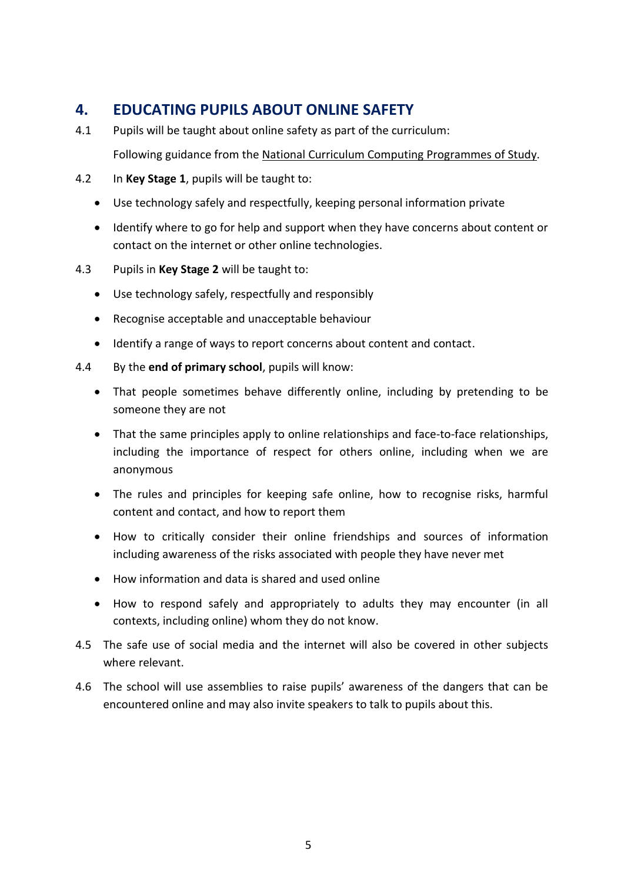# **4. EDUCATING PUPILS ABOUT ONLINE SAFETY**

4.1 Pupils will be taught about online safety as part of the curriculum:

Following guidance from the [National Curriculum Computing Programmes of Study.](https://www.gov.uk/government/publications/national-curriculum-in-england-computing-programmes-of-study/national-curriculum-in-england-computing-programmes-of-study)

- 4.2 In **Key Stage 1**, pupils will be taught to:
	- Use technology safely and respectfully, keeping personal information private
	- Identify where to go for help and support when they have concerns about content or contact on the internet or other online technologies.
- 4.3 Pupils in **Key Stage 2** will be taught to:
	- Use technology safely, respectfully and responsibly
	- Recognise acceptable and unacceptable behaviour
	- Identify a range of ways to report concerns about content and contact.
- 4.4 By the **end of primary school**, pupils will know:
	- That people sometimes behave differently online, including by pretending to be someone they are not
	- That the same principles apply to online relationships and face-to-face relationships, including the importance of respect for others online, including when we are anonymous
	- The rules and principles for keeping safe online, how to recognise risks, harmful content and contact, and how to report them
	- How to critically consider their online friendships and sources of information including awareness of the risks associated with people they have never met
	- How information and data is shared and used online
	- How to respond safely and appropriately to adults they may encounter (in all contexts, including online) whom they do not know.
- 4.5 The safe use of social media and the internet will also be covered in other subjects where relevant.
- 4.6 The school will use assemblies to raise pupils' awareness of the dangers that can be encountered online and may also invite speakers to talk to pupils about this.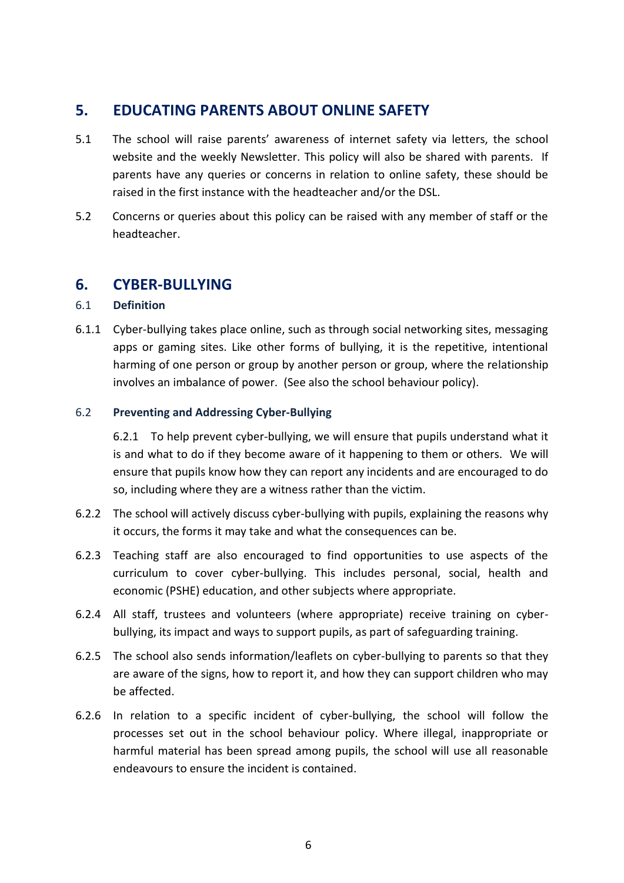## **5. EDUCATING PARENTS ABOUT ONLINE SAFETY**

- 5.1 The school will raise parents' awareness of internet safety via letters, the school website and the weekly Newsletter. This policy will also be shared with parents. If parents have any queries or concerns in relation to online safety, these should be raised in the first instance with the headteacher and/or the DSL.
- 5.2 Concerns or queries about this policy can be raised with any member of staff or the headteacher.

## **6. CYBER-BULLYING**

### 6.1 **Definition**

6.1.1 Cyber-bullying takes place online, such as through social networking sites, messaging apps or gaming sites. Like other forms of bullying, it is the repetitive, intentional harming of one person or group by another person or group, where the relationship involves an imbalance of power. (See also the school behaviour policy).

#### 6.2 **Preventing and Addressing Cyber-Bullying**

6.2.1 To help prevent cyber-bullying, we will ensure that pupils understand what it is and what to do if they become aware of it happening to them or others. We will ensure that pupils know how they can report any incidents and are encouraged to do so, including where they are a witness rather than the victim.

- 6.2.2 The school will actively discuss cyber-bullying with pupils, explaining the reasons why it occurs, the forms it may take and what the consequences can be.
- 6.2.3 Teaching staff are also encouraged to find opportunities to use aspects of the curriculum to cover cyber-bullying. This includes personal, social, health and economic (PSHE) education, and other subjects where appropriate.
- 6.2.4 All staff, trustees and volunteers (where appropriate) receive training on cyberbullying, its impact and ways to support pupils, as part of safeguarding training.
- 6.2.5 The school also sends information/leaflets on cyber-bullying to parents so that they are aware of the signs, how to report it, and how they can support children who may be affected.
- 6.2.6 In relation to a specific incident of cyber-bullying, the school will follow the processes set out in the school behaviour policy. Where illegal, inappropriate or harmful material has been spread among pupils, the school will use all reasonable endeavours to ensure the incident is contained.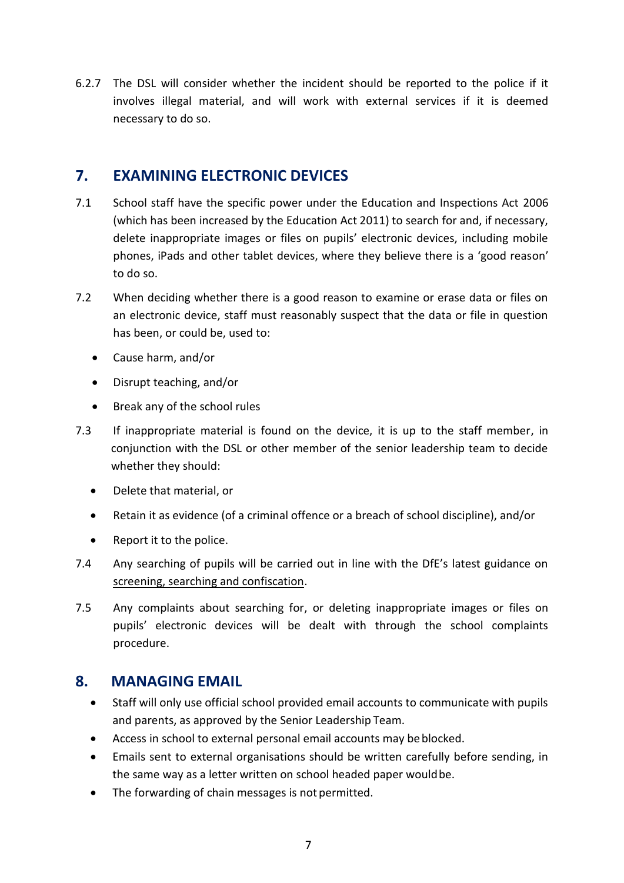6.2.7 The DSL will consider whether the incident should be reported to the police if it involves illegal material, and will work with external services if it is deemed necessary to do so.

# **7. EXAMINING ELECTRONIC DEVICES**

- 7.1 School staff have the specific power under the Education and Inspections Act 2006 (which has been increased by the Education Act 2011) to search for and, if necessary, delete inappropriate images or files on pupils' electronic devices, including mobile phones, iPads and other tablet devices, where they believe there is a 'good reason' to do so.
- 7.2 When deciding whether there is a good reason to examine or erase data or files on an electronic device, staff must reasonably suspect that the data or file in question has been, or could be, used to:
	- Cause harm, and/or
	- Disrupt teaching, and/or
	- Break any of the school rules
- 7.3 If inappropriate material is found on the device, it is up to the staff member, in conjunction with the DSL or other member of the senior leadership team to decide whether they should:
	- Delete that material, or
	- Retain it as evidence (of a criminal offence or a breach of school discipline), and/or
	- Report it to the police.
- 7.4 Any searching of pupils will be carried out in line with the DfE's latest guidance on [screening, searching and confiscation.](https://www.gov.uk/government/publications/searching-screening-and-confiscation)
- 7.5 Any complaints about searching for, or deleting inappropriate images or files on pupils' electronic devices will be dealt with through the school complaints procedure.

# **8. MANAGING EMAIL**

- Staff will only use official school provided email accounts to communicate with pupils and parents, as approved by the Senior Leadership Team.
- Access in school to external personal email accounts may be blocked.
- Emails sent to external organisations should be written carefully before sending, in the same way as a letter written on school headed paper would be.
- The forwarding of chain messages is not permitted.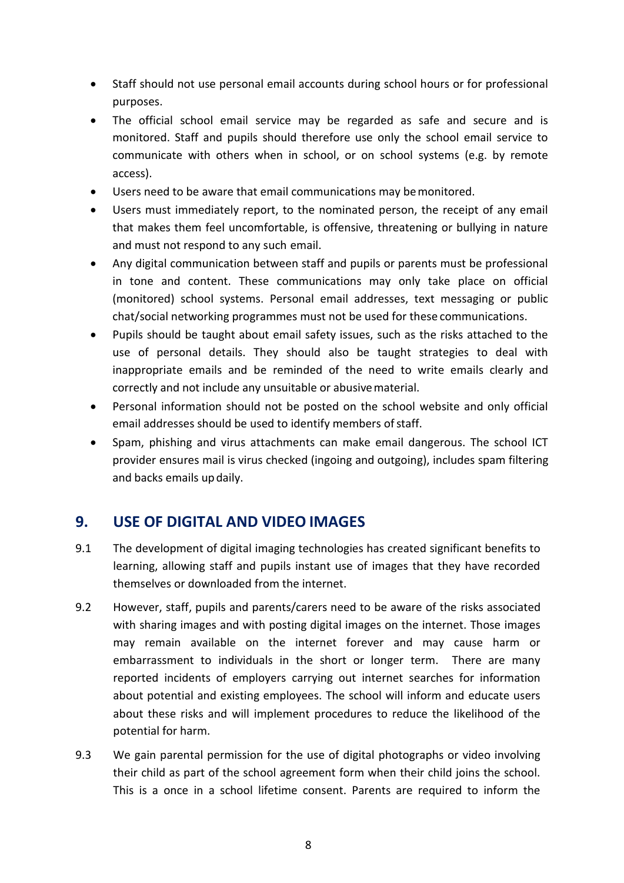- Staff should not use personal email accounts during school hours or for professional purposes.
- The official school email service may be regarded as safe and secure and is monitored. Staff and pupils should therefore use only the school email service to communicate with others when in school, or on school systems (e.g. by remote access).
- Users need to be aware that email communications may bemonitored.
- Users must immediately report, to the nominated person, the receipt of any email that makes them feel uncomfortable, is offensive, threatening or bullying in nature and must not respond to any such email.
- Any digital communication between staff and pupils or parents must be professional in tone and content. These communications may only take place on official (monitored) school systems. Personal email addresses, text messaging or public chat/social networking programmes must not be used for these communications.
- Pupils should be taught about email safety issues, such as the risks attached to the use of personal details. They should also be taught strategies to deal with inappropriate emails and be reminded of the need to write emails clearly and correctly and not include any unsuitable or abusivematerial.
- Personal information should not be posted on the school website and only official email addresses should be used to identify members of staff.
- Spam, phishing and virus attachments can make email dangerous. The school ICT provider ensures mail is virus checked (ingoing and outgoing), includes spam filtering and backs emails updaily.

# **9. USE OF DIGITAL AND VIDEO IMAGES**

- 9.1 The development of digital imaging technologies has created significant benefits to learning, allowing staff and pupils instant use of images that they have recorded themselves or downloaded from the internet.
- 9.2 However, staff, pupils and parents/carers need to be aware of the risks associated with sharing images and with posting digital images on the internet. Those images may remain available on the internet forever and may cause harm or embarrassment to individuals in the short or longer term. There are many reported incidents of employers carrying out internet searches for information about potential and existing employees. The school will inform and educate users about these risks and will implement procedures to reduce the likelihood of the potential for harm.
- 9.3 We gain parental permission for the use of digital photographs or video involving their child as part of the school agreement form when their child joins the school. This is a once in a school lifetime consent. Parents are required to inform the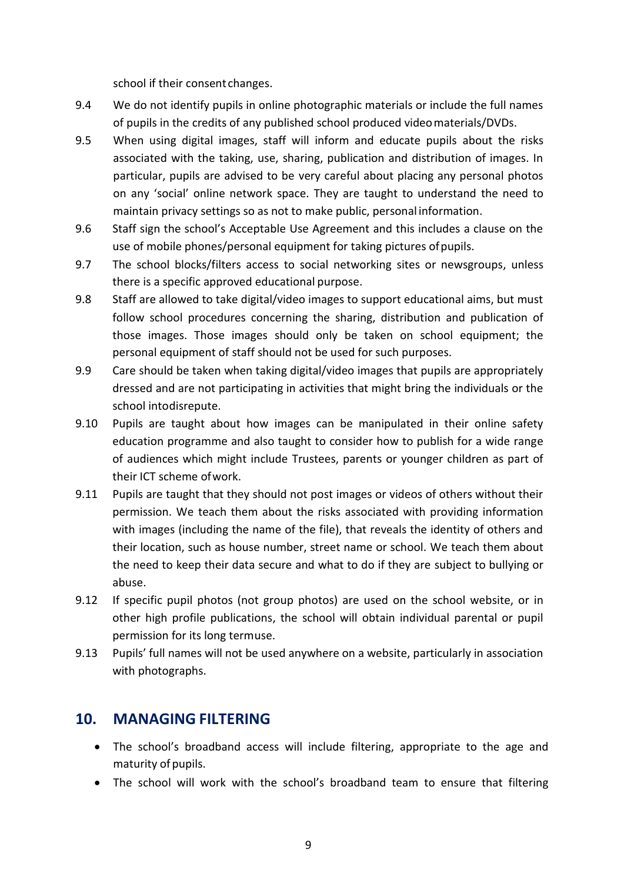school if their consent changes.

- 9.4 We do not identify pupils in online photographic materials or include the full names of pupils in the credits of any published school produced videomaterials/DVDs.
- 9.5 When using digital images, staff will inform and educate pupils about the risks associated with the taking, use, sharing, publication and distribution of images. In particular, pupils are advised to be very careful about placing any personal photos on any 'social' online network space. They are taught to understand the need to maintain privacy settings so as not to make public, personal information.
- 9.6 Staff sign the school's Acceptable Use Agreement and this includes a clause on the use of mobile phones/personal equipment for taking pictures ofpupils.
- 9.7 The school blocks/filters access to social networking sites or newsgroups, unless there is a specific approved educational purpose.
- 9.8 Staff are allowed to take digital/video images to support educational aims, but must follow school procedures concerning the sharing, distribution and publication of those images. Those images should only be taken on school equipment; the personal equipment of staff should not be used for such purposes.
- 9.9 Care should be taken when taking digital/video images that pupils are appropriately dressed and are not participating in activities that might bring the individuals or the school intodisrepute.
- 9.10 Pupils are taught about how images can be manipulated in their online safety education programme and also taught to consider how to publish for a wide range of audiences which might include Trustees, parents or younger children as part of their ICT scheme ofwork.
- 9.11 Pupils are taught that they should not post images or videos of others without their permission. We teach them about the risks associated with providing information with images (including the name of the file), that reveals the identity of others and their location, such as house number, street name or school. We teach them about the need to keep their data secure and what to do if they are subject to bullying or abuse.
- 9.12 If specific pupil photos (not group photos) are used on the school website, or in other high profile publications, the school will obtain individual parental or pupil permission for its long termuse.
- 9.13 Pupils' full names will not be used anywhere on a website, particularly in association with photographs.

# **10. MANAGING FILTERING**

- The school's broadband access will include filtering, appropriate to the age and maturity of pupils.
- The school will work with the school's broadband team to ensure that filtering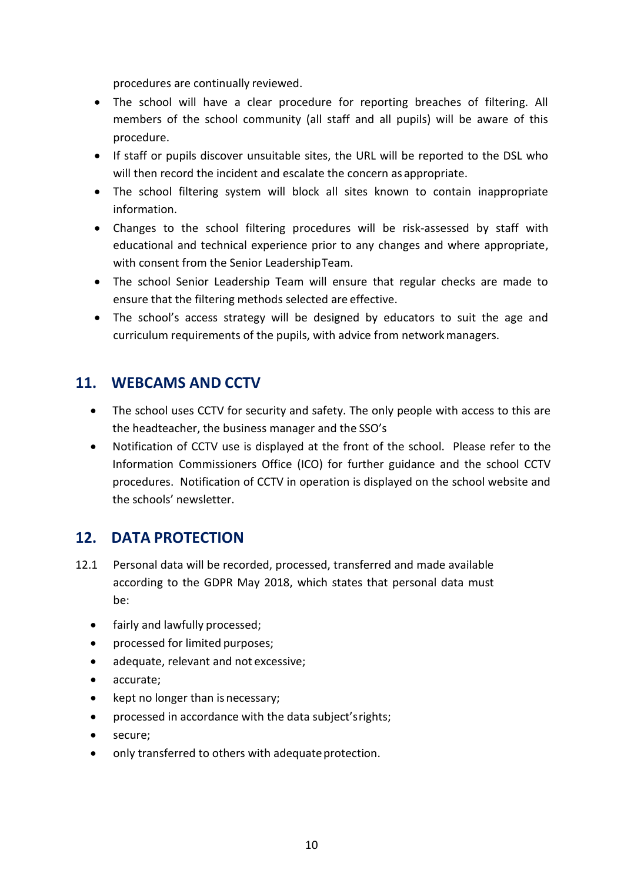procedures are continually reviewed.

- The school will have a clear procedure for reporting breaches of filtering. All members of the school community (all staff and all pupils) will be aware of this procedure.
- If staff or pupils discover unsuitable sites, the URL will be reported to the DSL who will then record the incident and escalate the concern as appropriate.
- The school filtering system will block all sites known to contain inappropriate information.
- Changes to the school filtering procedures will be risk-assessed by staff with educational and technical experience prior to any changes and where appropriate, with consent from the Senior LeadershipTeam.
- The school Senior Leadership Team will ensure that regular checks are made to ensure that the filtering methods selected are effective.
- The school's access strategy will be designed by educators to suit the age and curriculum requirements of the pupils, with advice from networkmanagers.

# **11. WEBCAMS AND CCTV**

- The school uses CCTV for security and safety. The only people with access to this are the headteacher, the business manager and the SSO's
- Notification of CCTV use is displayed at the front of the school. Please refer to the Information Commissioners Office (ICO) for further guidance and the school CCTV procedures. Notification of CCTV in operation is displayed on the school website and the schools' newsletter.

# **12. DATA PROTECTION**

- 12.1 Personal data will be recorded, processed, transferred and made available according to the GDPR May 2018, which states that personal data must be:
	- fairly and lawfully processed;
	- processed for limited purposes;
	- adequate, relevant and not excessive;
	- accurate;
	- kept no longer than is necessary;
	- processed in accordance with the data subject'srights;
	- secure;
	- only transferred to others with adequate protection.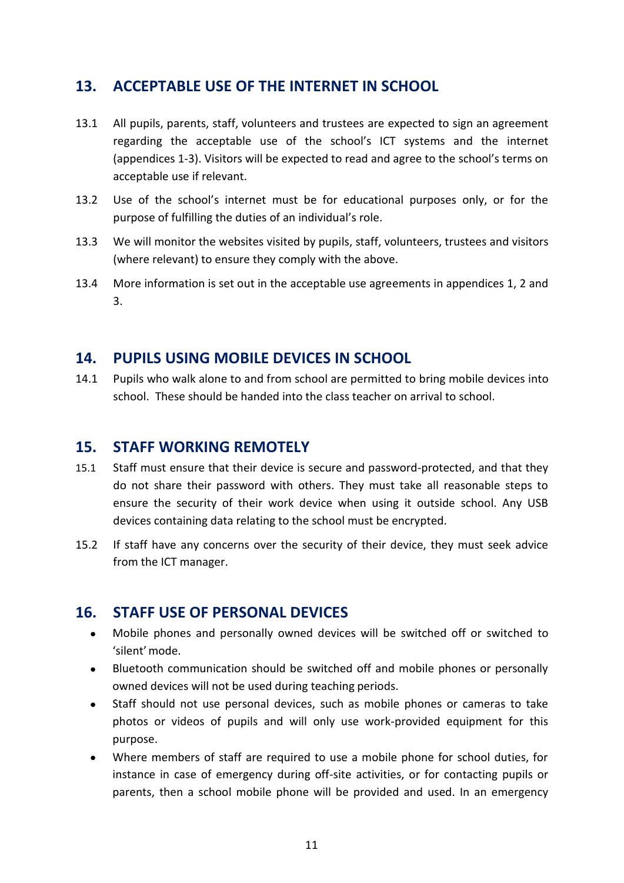# **13. ACCEPTABLE USE OF THE INTERNET IN SCHOOL**

- 13.1 All pupils, parents, staff, volunteers and trustees are expected to sign an agreement regarding the acceptable use of the school's ICT systems and the internet (appendices 1-3). Visitors will be expected to read and agree to the school's terms on acceptable use if relevant.
- 13.2 Use of the school's internet must be for educational purposes only, or for the purpose of fulfilling the duties of an individual's role.
- 13.3 We will monitor the websites visited by pupils, staff, volunteers, trustees and visitors (where relevant) to ensure they comply with the above.
- 13.4 More information is set out in the acceptable use agreements in appendices 1, 2 and 3.

## **14. PUPILS USING MOBILE DEVICES IN SCHOOL**

14.1 Pupils who walk alone to and from school are permitted to bring mobile devices into school. These should be handed into the class teacher on arrival to school.

## **15. STAFF WORKING REMOTELY**

- 15.1 Staff must ensure that their device is secure and password-protected, and that they do not share their password with others. They must take all reasonable steps to ensure the security of their work device when using it outside school. Any USB devices containing data relating to the school must be encrypted.
- 15.2 If staff have any concerns over the security of their device, they must seek advice from the ICT manager.

# **16. STAFF USE OF PERSONAL DEVICES**

- Mobile phones and personally owned devices will be switched off or switched to 'silent'mode.
- Bluetooth communication should be switched off and mobile phones or personally owned devices will not be used during teaching periods.
- Staff should not use personal devices, such as mobile phones or cameras to take photos or videos of pupils and will only use work-provided equipment for this purpose.
- Where members of staff are required to use a mobile phone for school duties, for instance in case of emergency during off-site activities, or for contacting pupils or parents, then a school mobile phone will be provided and used. In an emergency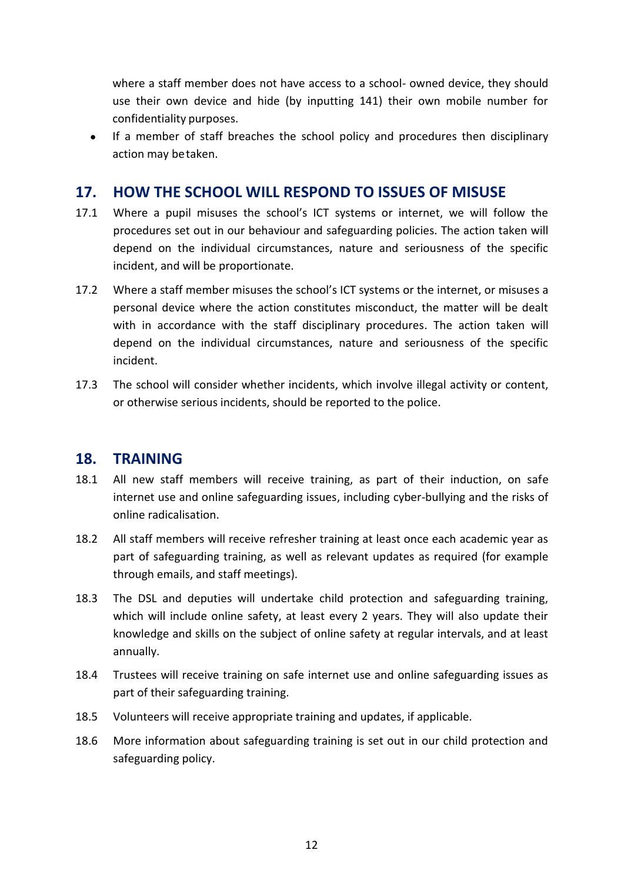where a staff member does not have access to a school- owned device, they should use their own device and hide (by inputting 141) their own mobile number for confidentiality purposes.

 If a member of staff breaches the school policy and procedures then disciplinary action may betaken.

## **17. HOW THE SCHOOL WILL RESPOND TO ISSUES OF MISUSE**

- 17.1 Where a pupil misuses the school's ICT systems or internet, we will follow the procedures set out in our behaviour and safeguarding policies. The action taken will depend on the individual circumstances, nature and seriousness of the specific incident, and will be proportionate.
- 17.2 Where a staff member misuses the school's ICT systems or the internet, or misuses a personal device where the action constitutes misconduct, the matter will be dealt with in accordance with the staff disciplinary procedures. The action taken will depend on the individual circumstances, nature and seriousness of the specific incident.
- 17.3 The school will consider whether incidents, which involve illegal activity or content, or otherwise serious incidents, should be reported to the police.

## **18. TRAINING**

- 18.1 All new staff members will receive training, as part of their induction, on safe internet use and online safeguarding issues, including cyber-bullying and the risks of online radicalisation.
- 18.2 All staff members will receive refresher training at least once each academic year as part of safeguarding training, as well as relevant updates as required (for example through emails, and staff meetings).
- 18.3 The DSL and deputies will undertake child protection and safeguarding training, which will include online safety, at least every 2 years. They will also update their knowledge and skills on the subject of online safety at regular intervals, and at least annually.
- 18.4 Trustees will receive training on safe internet use and online safeguarding issues as part of their safeguarding training.
- 18.5 Volunteers will receive appropriate training and updates, if applicable.
- 18.6 More information about safeguarding training is set out in our child protection and safeguarding policy.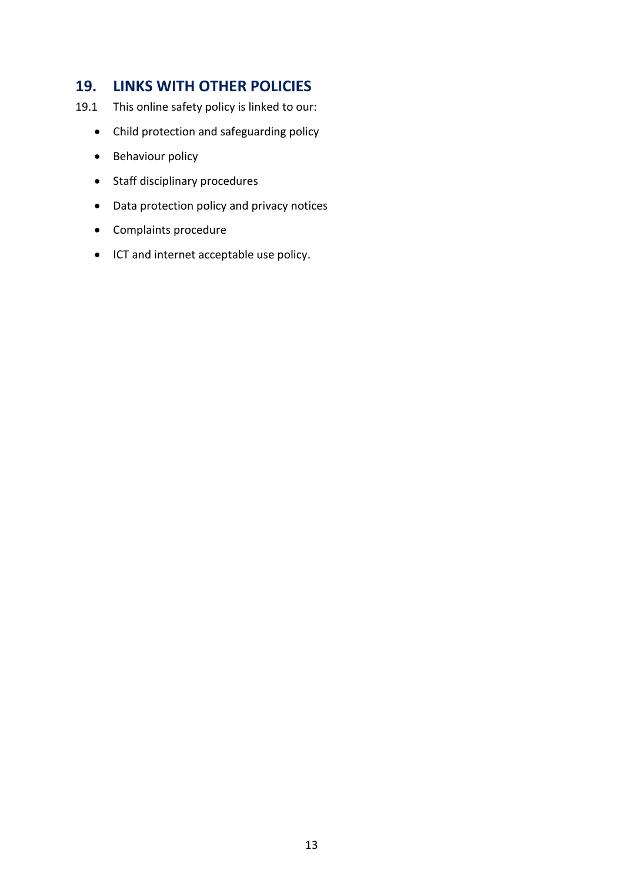## **19. LINKS WITH OTHER POLICIES**

- 19.1 This online safety policy is linked to our:
	- Child protection and safeguarding policy
	- Behaviour policy
	- Staff disciplinary procedures
	- Data protection policy and privacy notices
	- Complaints procedure
	- ICT and internet acceptable use policy.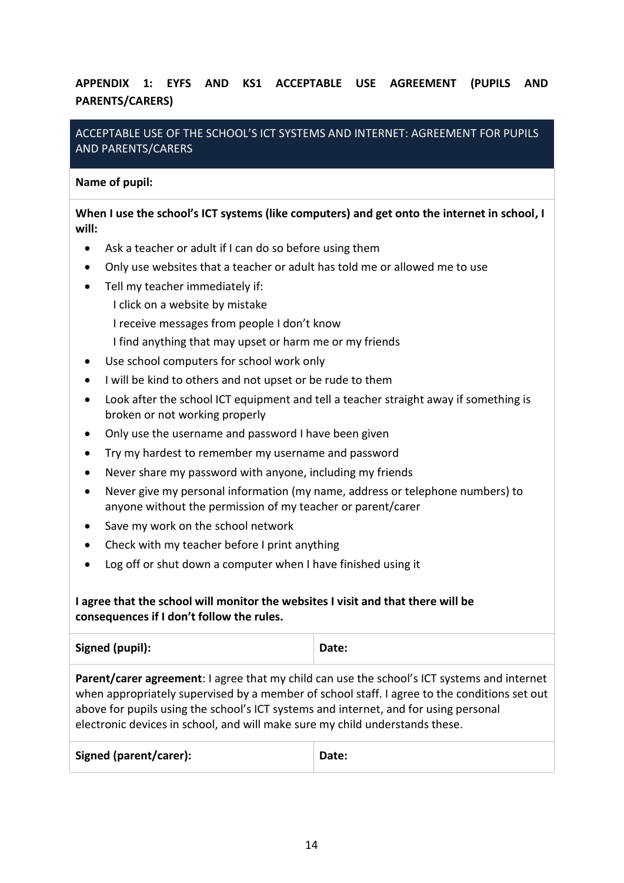## **APPENDIX 1: EYFS AND KS1 ACCEPTABLE USE AGREEMENT (PUPILS AND PARENTS/CARERS)**

## ACCEPTABLE USE OF THE SCHOOL'S ICT SYSTEMS AND INTERNET: AGREEMENT FOR PUPILS AND PARENTS/CARERS

#### **Name of pupil:**

### **When I use the school's ICT systems (like computers) and get onto the internet in school, I will:**

- Ask a teacher or adult if I can do so before using them
- Only use websites that a teacher or adult has told me or allowed me to use
- Tell my teacher immediately if:
	- I click on a website by mistake
	- I receive messages from people I don't know
	- I find anything that may upset or harm me or my friends
- Use school computers for school work only
- I will be kind to others and not upset or be rude to them
- Look after the school ICT equipment and tell a teacher straight away if something is broken or not working properly
- Only use the username and password I have been given
- Try my hardest to remember my username and password
- Never share my password with anyone, including my friends
- Never give my personal information (my name, address or telephone numbers) to anyone without the permission of my teacher or parent/carer
- Save my work on the school network
- Check with my teacher before I print anything
- Log off or shut down a computer when I have finished using it

## **I agree that the school will monitor the websites I visit and that there will be consequences if I don't follow the rules.**

| Signed (pupil): | Date: |
|-----------------|-------|
|                 |       |

**Parent/carer agreement**: I agree that my child can use the school's ICT systems and internet when appropriately supervised by a member of school staff. I agree to the conditions set out above for pupils using the school's ICT systems and internet, and for using personal electronic devices in school, and will make sure my child understands these.

| <b>Signed (parent/carer):</b> | Date: |
|-------------------------------|-------|
|                               |       |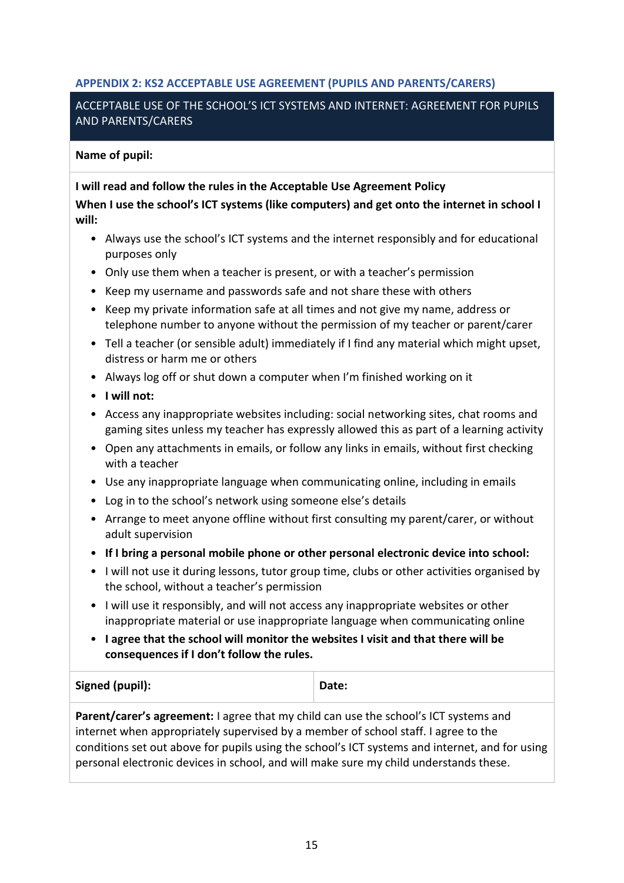## **APPENDIX 2: KS2 ACCEPTABLE USE AGREEMENT (PUPILS AND PARENTS/CARERS)**

### ACCEPTABLE USE OF THE SCHOOL'S ICT SYSTEMS AND INTERNET: AGREEMENT FOR PUPILS AND PARENTS/CARERS

#### **Name of pupil:**

#### **I will read and follow the rules in the Acceptable Use Agreement Policy**

**When I use the school's ICT systems (like computers) and get onto the internet in school I will:**

- Always use the school's ICT systems and the internet responsibly and for educational purposes only
- Only use them when a teacher is present, or with a teacher's permission
- Keep my username and passwords safe and not share these with others
- Keep my private information safe at all times and not give my name, address or telephone number to anyone without the permission of my teacher or parent/carer
- Tell a teacher (or sensible adult) immediately if I find any material which might upset, distress or harm me or others
- Always log off or shut down a computer when I'm finished working on it
- **I will not:**
- Access any inappropriate websites including: social networking sites, chat rooms and gaming sites unless my teacher has expressly allowed this as part of a learning activity
- Open any attachments in emails, or follow any links in emails, without first checking with a teacher
- Use any inappropriate language when communicating online, including in emails
- Log in to the school's network using someone else's details
- Arrange to meet anyone offline without first consulting my parent/carer, or without adult supervision
- **If I bring a personal mobile phone or other personal electronic device into school:**
- I will not use it during lessons, tutor group time, clubs or other activities organised by the school, without a teacher's permission
- I will use it responsibly, and will not access any inappropriate websites or other inappropriate material or use inappropriate language when communicating online
- **I agree that the school will monitor the websites I visit and that there will be consequences if I don't follow the rules.**

### Signed (pupil): **Date: Date:**

**Parent/carer's agreement:** I agree that my child can use the school's ICT systems and internet when appropriately supervised by a member of school staff. I agree to the conditions set out above for pupils using the school's ICT systems and internet, and for using personal electronic devices in school, and will make sure my child understands these.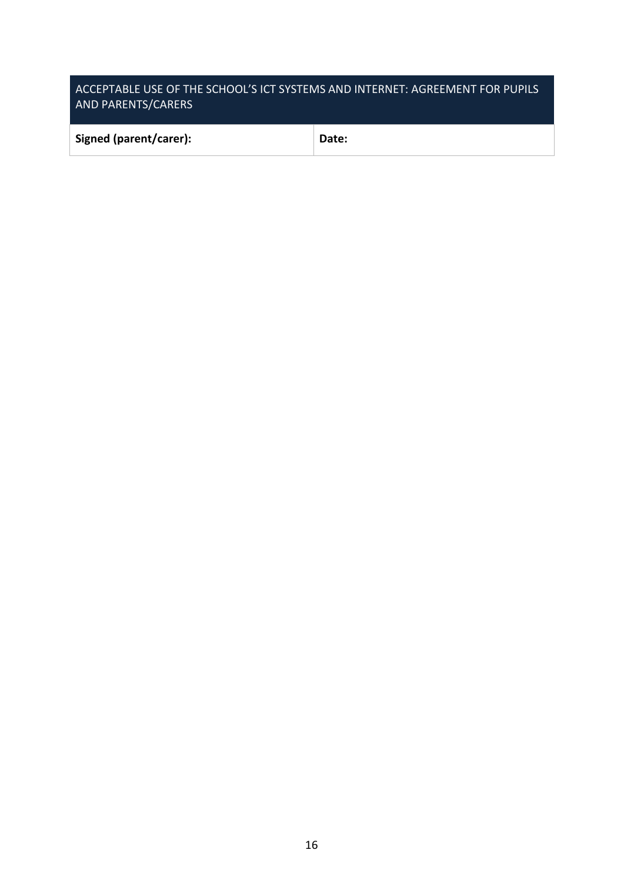## ACCEPTABLE USE OF THE SCHOOL'S ICT SYSTEMS AND INTERNET: AGREEMENT FOR PUPILS AND PARENTS/CARERS

| Signed (parent/carer): | Date: |
|------------------------|-------|
|                        |       |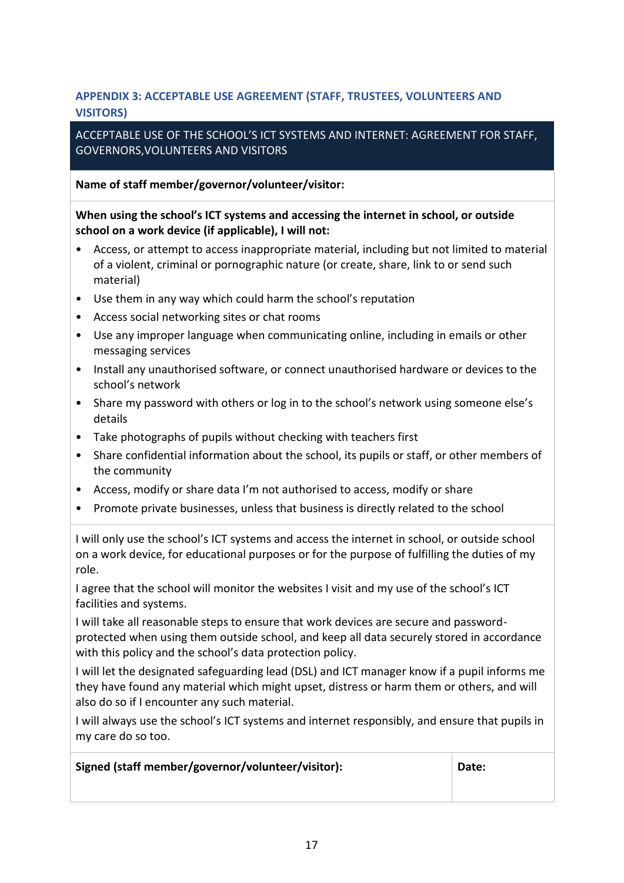## **APPENDIX 3: ACCEPTABLE USE AGREEMENT (STAFF, TRUSTEES, VOLUNTEERS AND VISITORS)**

## ACCEPTABLE USE OF THE SCHOOL'S ICT SYSTEMS AND INTERNET: AGREEMENT FOR STAFF, GOVERNORS,VOLUNTEERS AND VISITORS

**Name of staff member/governor/volunteer/visitor:**

## **When using the school's ICT systems and accessing the internet in school, or outside school on a work device (if applicable), I will not:**

- Access, or attempt to access inappropriate material, including but not limited to material of a violent, criminal or pornographic nature (or create, share, link to or send such material)
- Use them in any way which could harm the school's reputation
- Access social networking sites or chat rooms
- Use any improper language when communicating online, including in emails or other messaging services
- Install any unauthorised software, or connect unauthorised hardware or devices to the school's network
- Share my password with others or log in to the school's network using someone else's details
- Take photographs of pupils without checking with teachers first
- Share confidential information about the school, its pupils or staff, or other members of the community
- Access, modify or share data I'm not authorised to access, modify or share
- Promote private businesses, unless that business is directly related to the school

I will only use the school's ICT systems and access the internet in school, or outside school on a work device, for educational purposes or for the purpose of fulfilling the duties of my role.

I agree that the school will monitor the websites I visit and my use of the school's ICT facilities and systems.

I will take all reasonable steps to ensure that work devices are secure and passwordprotected when using them outside school, and keep all data securely stored in accordance with this policy and the school's data protection policy.

I will let the designated safeguarding lead (DSL) and ICT manager know if a pupil informs me they have found any material which might upset, distress or harm them or others, and will also do so if I encounter any such material.

I will always use the school's ICT systems and internet responsibly, and ensure that pupils in my care do so too.

**Signed (staff member/governor/volunteer/visitor): Date:**